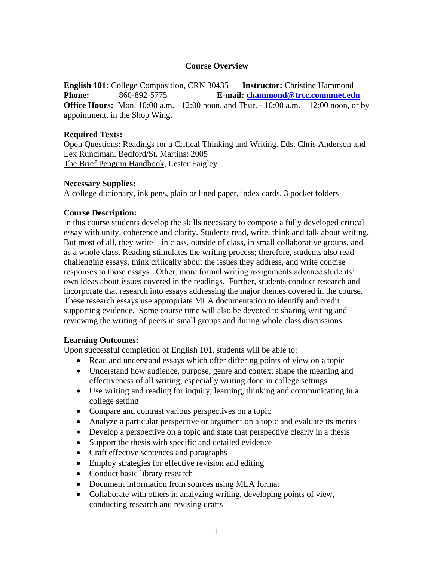# **Course Overview**

**English 101:** College Composition, CRN 30435 **Instructor:** Christine Hammond **Phone:** 860**-**892-5775 **E-mail: [chammond@trcc.commnet.edu](mailto:chammond@trcc.commnet.edu) Office Hours:** Mon. 10:00 a.m. - 12:00 noon, and Thur. **-** 10:00 a.m. – 12:00 noon, or by appointment, in the Shop Wing.

## **Required Texts:**

Open Questions: Readings for a Critical Thinking and Writing. Eds. Chris Anderson and Lex Runciman. Bedford/St. Martins: 2005 The Brief Penguin Handbook, Lester Faigley

### **Necessary Supplies:**

A college dictionary, ink pens, plain or lined paper, index cards, 3 pocket folders

# **Course Description:**

In this course students develop the skills necessary to compose a fully developed critical essay with unity, coherence and clarity. Students read, write, think and talk about writing. But most of all, they write—in class, outside of class, in small collaborative groups, and as a whole class. Reading stimulates the writing process; therefore, students also read challenging essays, think critically about the issues they address, and write concise responses to those essays. Other, more formal writing assignments advance students' own ideas about issues covered in the readings. Further, students conduct research and incorporate that research into essays addressing the major themes covered in the course. These research essays use appropriate MLA documentation to identify and credit supporting evidence. Some course time will also be devoted to sharing writing and reviewing the writing of peers in small groups and during whole class discussions.

### **Learning Outcomes:**

Upon successful completion of English 101, students will be able to:

- Read and understand essays which offer differing points of view on a topic
- Understand how audience, purpose, genre and context shape the meaning and effectiveness of all writing, especially writing done in college settings
- Use writing and reading for inquiry, learning, thinking and communicating in a college setting
- Compare and contrast various perspectives on a topic
- Analyze a particular perspective or argument on a topic and evaluate its merits
- Develop a perspective on a topic and state that perspective clearly in a thesis
- Support the thesis with specific and detailed evidence
- Craft effective sentences and paragraphs
- Employ strategies for effective revision and editing
- Conduct basic library research
- Document information from sources using MLA format
- Collaborate with others in analyzing writing, developing points of view, conducting research and revising drafts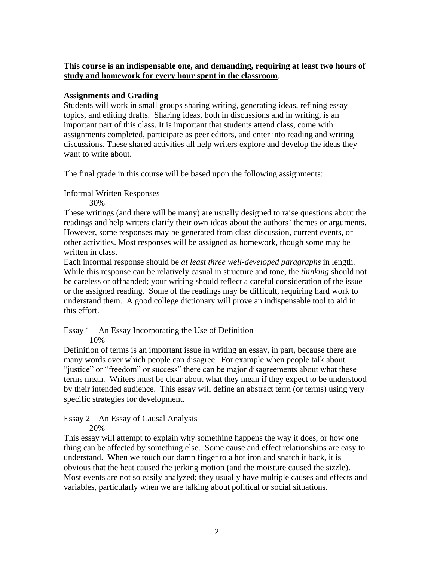# **This course is an indispensable one, and demanding, requiring at least two hours of study and homework for every hour spent in the classroom**.

# **Assignments and Grading**

Students will work in small groups sharing writing, generating ideas, refining essay topics, and editing drafts. Sharing ideas, both in discussions and in writing, is an important part of this class. It is important that students attend class, come with assignments completed, participate as peer editors, and enter into reading and writing discussions. These shared activities all help writers explore and develop the ideas they want to write about.

The final grade in this course will be based upon the following assignments:

Informal Written Responses

30%

These writings (and there will be many) are usually designed to raise questions about the readings and help writers clarify their own ideas about the authors' themes or arguments. However, some responses may be generated from class discussion, current events, or other activities. Most responses will be assigned as homework, though some may be written in class.

Each informal response should be *at least three well-developed paragraphs* in length. While this response can be relatively casual in structure and tone, the *thinking* should not be careless or offhanded; your writing should reflect a careful consideration of the issue or the assigned reading. Some of the readings may be difficult, requiring hard work to understand them. A good college dictionary will prove an indispensable tool to aid in this effort.

Essay 1 – An Essay Incorporating the Use of Definition

10%

Definition of terms is an important issue in writing an essay, in part, because there are many words over which people can disagree. For example when people talk about "justice" or "freedom" or success" there can be major disagreements about what these terms mean. Writers must be clear about what they mean if they expect to be understood by their intended audience. This essay will define an abstract term (or terms) using very specific strategies for development.

Essay 2 – An Essay of Causal Analysis

20%

This essay will attempt to explain why something happens the way it does, or how one thing can be affected by something else. Some cause and effect relationships are easy to understand. When we touch our damp finger to a hot iron and snatch it back, it is obvious that the heat caused the jerking motion (and the moisture caused the sizzle). Most events are not so easily analyzed; they usually have multiple causes and effects and variables, particularly when we are talking about political or social situations.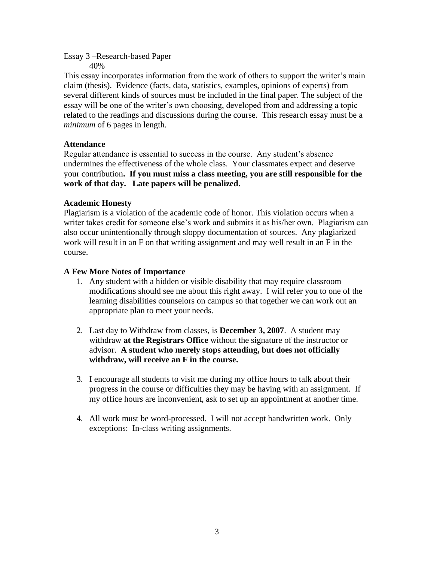Essay 3 –Research-based Paper 40%

This essay incorporates information from the work of others to support the writer's main claim (thesis). Evidence (facts, data, statistics, examples, opinions of experts) from several different kinds of sources must be included in the final paper. The subject of the essay will be one of the writer's own choosing, developed from and addressing a topic related to the readings and discussions during the course. This research essay must be a *minimum* of 6 pages in length.

# **Attendance**

Regular attendance is essential to success in the course. Any student's absence undermines the effectiveness of the whole class. Your classmates expect and deserve your contribution**. If you must miss a class meeting, you are still responsible for the work of that day. Late papers will be penalized.**

# **Academic Honesty**

Plagiarism is a violation of the academic code of honor. This violation occurs when a writer takes credit for someone else's work and submits it as his/her own. Plagiarism can also occur unintentionally through sloppy documentation of sources. Any plagiarized work will result in an F on that writing assignment and may well result in an F in the course.

# **A Few More Notes of Importance**

- 1. Any student with a hidden or visible disability that may require classroom modifications should see me about this right away. I will refer you to one of the learning disabilities counselors on campus so that together we can work out an appropriate plan to meet your needs.
- 2. Last day to Withdraw from classes, is **December 3, 2007**. A student may withdraw **at the Registrars Office** without the signature of the instructor or advisor. **A student who merely stops attending, but does not officially withdraw, will receive an F in the course.**
- 3. I encourage all students to visit me during my office hours to talk about their progress in the course or difficulties they may be having with an assignment. If my office hours are inconvenient, ask to set up an appointment at another time.
- 4. All work must be word-processed. I will not accept handwritten work. Only exceptions: In-class writing assignments.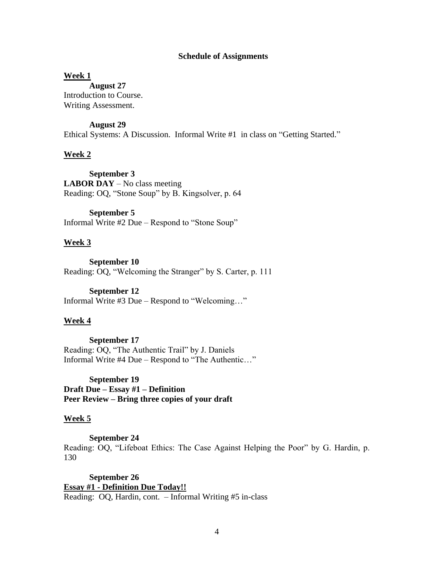### **Schedule of Assignments**

#### **Week 1**

**August 27** Introduction to Course. Writing Assessment.

#### **August 29**

Ethical Systems: A Discussion. Informal Write #1 in class on "Getting Started."

#### **Week 2**

**September 3 LABOR DAY** – No class meeting Reading: OQ, "Stone Soup" by B. Kingsolver, p. 64

# **September 5**

Informal Write #2 Due – Respond to "Stone Soup"

### **Week 3**

**September 10** Reading: OQ, "Welcoming the Stranger" by S. Carter, p. 111

#### **September 12**

Informal Write #3 Due – Respond to "Welcoming…"

### **Week 4**

**September 17** Reading: OQ, "The Authentic Trail" by J. Daniels Informal Write #4 Due – Respond to "The Authentic…"

### **September 19**

**Draft Due – Essay #1 – Definition Peer Review – Bring three copies of your draft**

### **Week 5**

**September 24**

Reading: OQ, "Lifeboat Ethics: The Case Against Helping the Poor" by G. Hardin, p. 130

**September 26 Essay #1 - Definition Due Today!!** Reading: OQ, Hardin, cont. – Informal Writing #5 in-class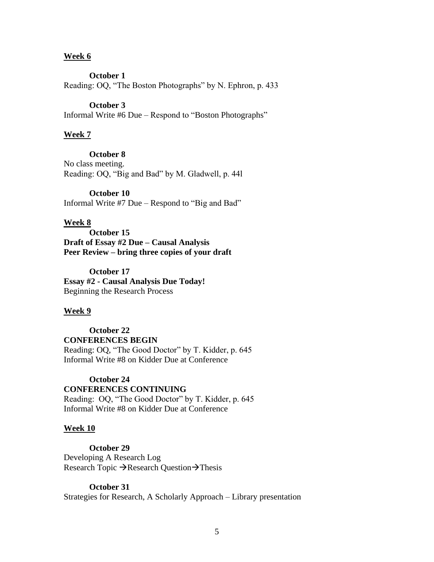### **Week 6**

**October 1**

Reading: OQ, "The Boston Photographs" by N. Ephron, p. 433

### **October 3**

Informal Write #6 Due – Respond to "Boston Photographs"

#### **Week 7**

### **October 8**

No class meeting. Reading: OQ, "Big and Bad" by M. Gladwell, p. 44l

### **October 10**

Informal Write #7 Due – Respond to "Big and Bad"

### **Week 8**

**October 15 Draft of Essay #2 Due – Causal Analysis Peer Review – bring three copies of your draft**

**October 17 Essay #2 - Causal Analysis Due Today!** Beginning the Research Process

#### **Week 9**

**October 22 CONFERENCES BEGIN** Reading: OQ, "The Good Doctor" by T. Kidder, p. 645 Informal Write #8 on Kidder Due at Conference

### **October 24**

### **CONFERENCES CONTINUING** Reading: OQ, "The Good Doctor" by T. Kidder, p. 645 Informal Write #8 on Kidder Due at Conference

#### **Week 10**

**October 29**

Developing A Research Log Research Topic  $\rightarrow$  Research Question $\rightarrow$  Thesis

### **October 31**

Strategies for Research, A Scholarly Approach – Library presentation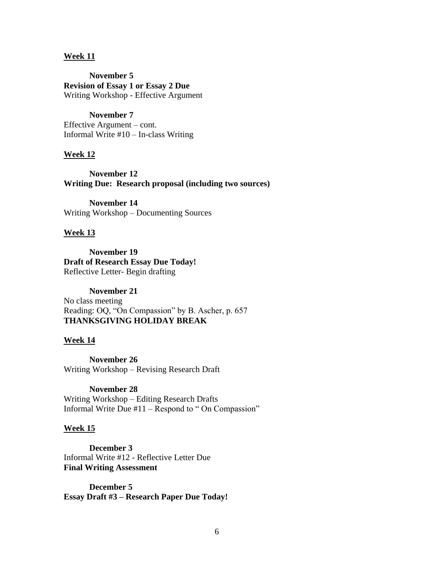### **Week 11**

**November 5 Revision of Essay 1 or Essay 2 Due** Writing Workshop - Effective Argument

#### **November 7**

Effective Argument – cont. Informal Write #10 – In-class Writing

#### **Week 12**

**November 12 Writing Due: Research proposal (including two sources)**

**November 14** Writing Workshop – Documenting Sources

#### **Week 13**

**November 19 Draft of Research Essay Due Today!** Reflective Letter- Begin drafting

#### **November 21**

No class meeting Reading: OQ, "On Compassion" by B. Ascher, p. 657 **THANKSGIVING HOLIDAY BREAK**

#### **Week 14**

**November 26** Writing Workshop – Revising Research Draft

### **November 28**

Writing Workshop – Editing Research Drafts Informal Write Due  $#11 -$ Respond to "On Compassion"

#### **Week 15**

**December 3** Informal Write #12 - Reflective Letter Due **Final Writing Assessment**

**December 5 Essay Draft #3 – Research Paper Due Today!**